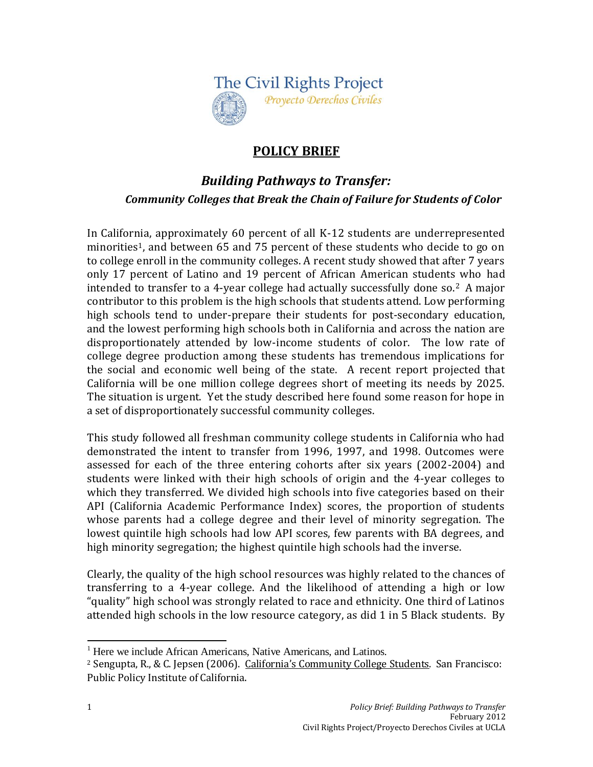

## **POLICY BRIEF**

# *Building Pathways to Transfer: Community Colleges that Break the Chain of Failure for Students of Color*

In California, approximately 60 percent of all K-12 students are underrepresented minorities<sup>1</sup>, and between 65 and 75 percent of these students who decide to go on to college enroll in the community colleges. A recent study showed that after 7 years only 17 percent of Latino and 19 percent of African American students who had intended to transfer to a 4-year college had actually successfully done so.2 A major contributor to this problem is the high schools that students attend. Low performing high schools tend to under-prepare their students for post-secondary education, and the lowest performing high schools both in California and across the nation are disproportionately attended by low-income students of color. The low rate of college degree production among these students has tremendous implications for the social and economic well being of the state. A recent report projected that California will be one million college degrees short of meeting its needs by 2025. The situation is urgent. Yet the study described here found some reason for hope in a set of disproportionately successful community colleges.

This study followed all freshman community college students in California who had demonstrated the intent to transfer from 1996, 1997, and 1998. Outcomes were assessed for each of the three entering cohorts after six years (2002-2004) and students were linked with their high schools of origin and the 4-year colleges to which they transferred. We divided high schools into five categories based on their API (California Academic Performance Index) scores, the proportion of students whose parents had a college degree and their level of minority segregation. The lowest quintile high schools had low API scores, few parents with BA degrees, and high minority segregation; the highest quintile high schools had the inverse.

Clearly, the quality of the high school resources was highly related to the chances of transferring to a 4-year college. And the likelihood of attending a high or low "quality" high school was strongly related to race and ethnicity. One third of Latinos attended high schools in the low resource category, as did 1 in 5 Black students. By

 $\overline{a}$ 

<sup>&</sup>lt;sup>1</sup> Here we include African Americans, Native Americans, and Latinos.

<sup>2</sup> Sengupta, R., & C. Jepsen (2006). California's Community College Students. San Francisco: Public Policy Institute of California.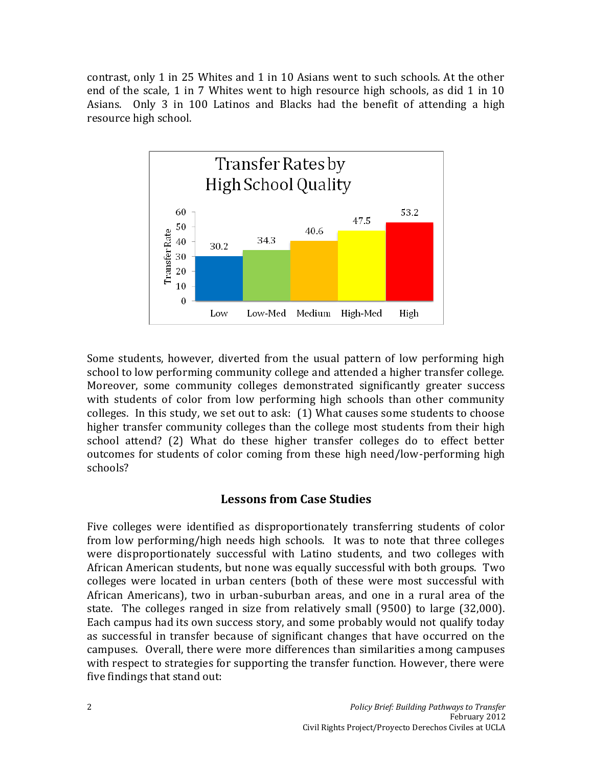contrast, only 1 in 25 Whites and 1 in 10 Asians went to such schools. At the other end of the scale, 1 in 7 Whites went to high resource high schools, as did 1 in 10 Asians. Only 3 in 100 Latinos and Blacks had the benefit of attending a high resource high school.



Some students, however, diverted from the usual pattern of low performing high school to low performing community college and attended a higher transfer college. Moreover, some community colleges demonstrated significantly greater success with students of color from low performing high schools than other community colleges. In this study, we set out to ask: (1) What causes some students to choose higher transfer community colleges than the college most students from their high school attend? (2) What do these higher transfer colleges do to effect better outcomes for students of color coming from these high need/low-performing high schools?

### **Lessons from Case Studies**

Five colleges were identified as disproportionately transferring students of color from low performing/high needs high schools. It was to note that three colleges were disproportionately successful with Latino students, and two colleges with African American students, but none was equally successful with both groups. Two colleges were located in urban centers (both of these were most successful with African Americans), two in urban-suburban areas, and one in a rural area of the state. The colleges ranged in size from relatively small (9500) to large (32,000). Each campus had its own success story, and some probably would not qualify today as successful in transfer because of significant changes that have occurred on the campuses. Overall, there were more differences than similarities among campuses with respect to strategies for supporting the transfer function. However, there were five findings that stand out: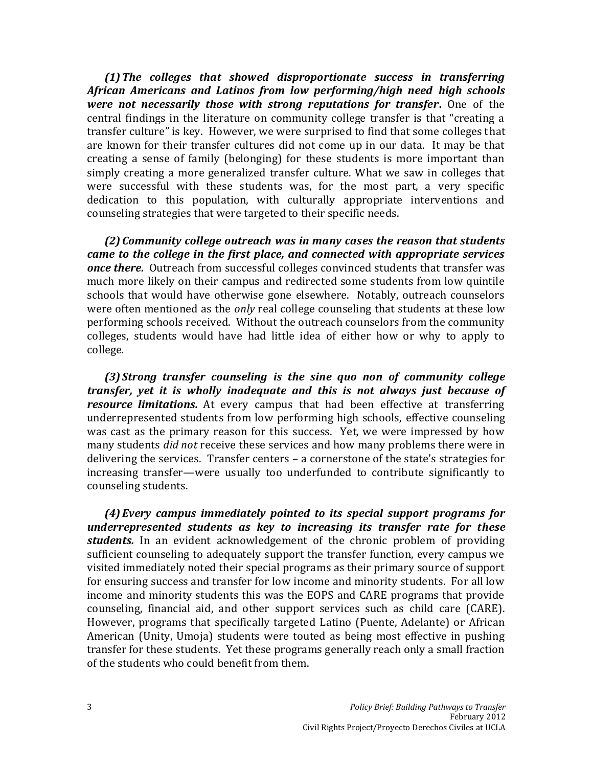*(1)The colleges that showed disproportionate success in transferring African Americans and Latinos from low performing/high need high schools were not necessarily those with strong reputations for transfer***.** One of the central findings in the literature on community college transfer is that "creating a transfer culture" is key. However, we were surprised to find that some colleges that are known for their transfer cultures did not come up in our data. It may be that creating a sense of family (belonging) for these students is more important than simply creating a more generalized transfer culture. What we saw in colleges that were successful with these students was, for the most part, a very specific dedication to this population, with culturally appropriate interventions and counseling strategies that were targeted to their specific needs.

*(2) Community college outreach was in many cases the reason that students came to the college in the first place, and connected with appropriate services once there.* Outreach from successful colleges convinced students that transfer was much more likely on their campus and redirected some students from low quintile schools that would have otherwise gone elsewhere. Notably, outreach counselors were often mentioned as the *only* real college counseling that students at these low performing schools received. Without the outreach counselors from the community colleges, students would have had little idea of either how or why to apply to college.

*(3)Strong transfer counseling is the sine quo non of community college transfer, yet it is wholly inadequate and this is not always just because of resource limitations.* At every campus that had been effective at transferring underrepresented students from low performing high schools, effective counseling was cast as the primary reason for this success. Yet, we were impressed by how many students *did not* receive these services and how many problems there were in delivering the services. Transfer centers – a cornerstone of the state's strategies for increasing transfer—were usually too underfunded to contribute significantly to counseling students.

*(4) Every campus immediately pointed to its special support programs for underrepresented students as key to increasing its transfer rate for these students.* In an evident acknowledgement of the chronic problem of providing sufficient counseling to adequately support the transfer function, every campus we visited immediately noted their special programs as their primary source of support for ensuring success and transfer for low income and minority students. For all low income and minority students this was the EOPS and CARE programs that provide counseling, financial aid, and other support services such as child care (CARE). However, programs that specifically targeted Latino (Puente, Adelante) or African American (Unity, Umoja) students were touted as being most effective in pushing transfer for these students. Yet these programs generally reach only a small fraction of the students who could benefit from them.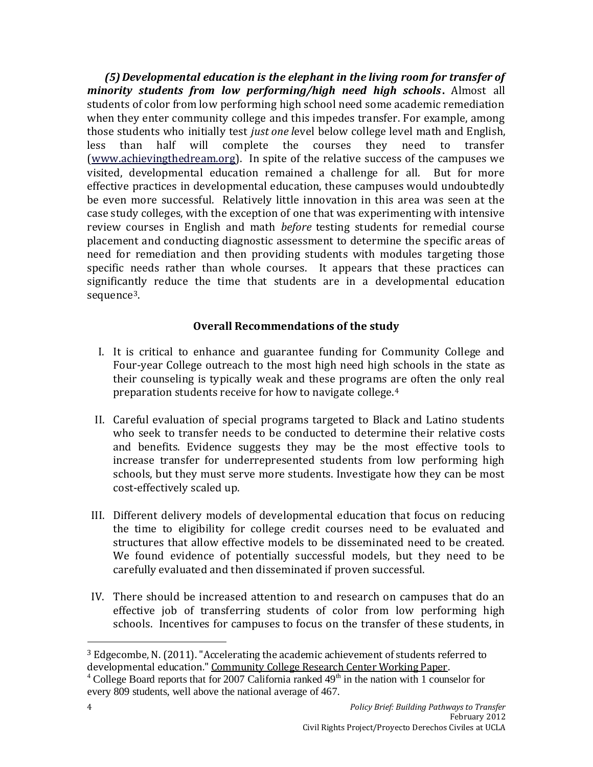*(5)Developmental education is the elephant in the living room for transfer of minority students from low performing/high need high schools***.** Almost all students of color from low performing high school need some academic remediation when they enter community college and this impedes transfer. For example, among those students who initially test *just one l*evel below college level math and English, less than half will complete the courses they need to transfer [\(www.achievingthedream.org\)](http://www.achievingthedream.org/). In spite of the relative success of the campuses we visited, developmental education remained a challenge for all. But for more effective practices in developmental education, these campuses would undoubtedly be even more successful. Relatively little innovation in this area was seen at the case study colleges, with the exception of one that was experimenting with intensive review courses in English and math *before* testing students for remedial course placement and conducting diagnostic assessment to determine the specific areas of need for remediation and then providing students with modules targeting those specific needs rather than whole courses. It appears that these practices can significantly reduce the time that students are in a developmental education sequence<sup>3</sup>.

#### **Overall Recommendations of the study**

- I. It is critical to enhance and guarantee funding for Community College and Four-year College outreach to the most high need high schools in the state as their counseling is typically weak and these programs are often the only real preparation students receive for how to navigate college.<sup>4</sup>
- II. Careful evaluation of special programs targeted to Black and Latino students who seek to transfer needs to be conducted to determine their relative costs and benefits. Evidence suggests they may be the most effective tools to increase transfer for underrepresented students from low performing high schools, but they must serve more students. Investigate how they can be most cost-effectively scaled up.
- III. Different delivery models of developmental education that focus on reducing the time to eligibility for college credit courses need to be evaluated and structures that allow effective models to be disseminated need to be created. We found evidence of potentially successful models, but they need to be carefully evaluated and then disseminated if proven successful.
- IV. There should be increased attention to and research on campuses that do an effective job of transferring students of color from low performing high schools. Incentives for campuses to focus on the transfer of these students, in

l

 $3$  Edgecombe, N. (2011). "Accelerating the academic achievement of students referred to developmental education." Community College Research Center Working Paper.

<sup>&</sup>lt;sup>4</sup> College Board reports that for 2007 California ranked  $49<sup>th</sup>$  in the nation with 1 counselor for every 809 students, well above the national average of 467.